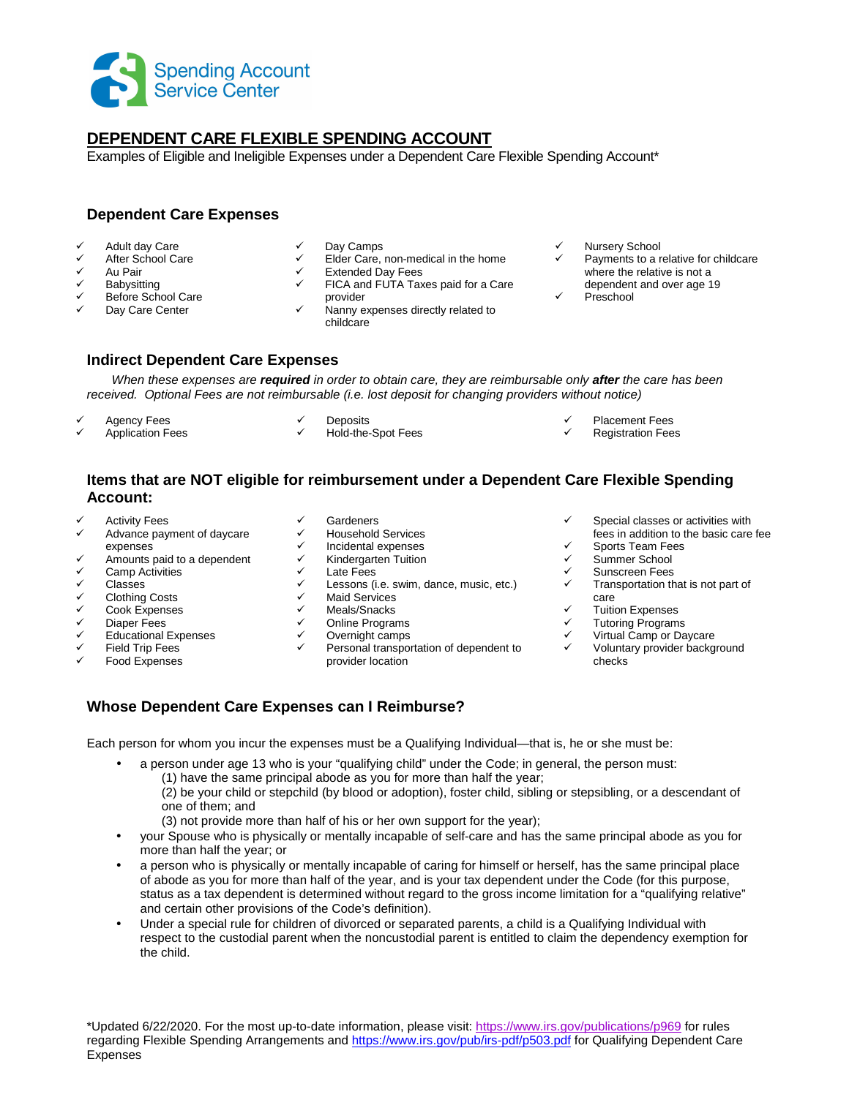

# **DEPENDENT CARE FLEXIBLE SPENDING ACCOUNT**

Examples of Eligible and Ineligible Expenses under a Dependent Care Flexible Spending Account\*

## **Dependent Care Expenses**

- Adult day Care
- V After School Care<br>V Au Pair
- Au Pair
- $\checkmark$  Babysitting
- Before School Care
- Day Care Center
- Day Camps
- Elder Care, non-medical in the home
- Extended Day Fees
- FICA and FUTA Taxes paid for a Care provider
- Nanny expenses directly related to childcare
- Nursery School
- Payments to a relative for childcare where the relative is not a
- dependent and over age 19 Preschool

#### **Indirect Dependent Care Expenses**

When these expenses are **required** in order to obtain care, they are reimbursable only **after** the care has been received. Optional Fees are not reimbursable (i.e. lost deposit for changing providers without notice)

- Agency Fees
- Application Fees
- **Deposits** Hold-the-Spot Fees
- Placement Fees
- Registration Fees

### **Items that are NOT eligible for reimbursement under a Dependent Care Flexible Spending Account:**

- ← Activity Fees
- Advance payment of daycare
- expenses  $\checkmark$  Amounts paid to a dependent
- Camp Activities
- 
- Classes
- Clothing Costs
- Cook Expenses
- Diaper Fees
- Educational Expenses
- Field Trip Fees
- Food Expenses
- Gardeners
- Household Services
- Incidental expenses
- Kindergarten Tuition
- $\checkmark$  Late Fees
- $\checkmark$  Lessons (i.e. swim, dance, music, etc.)<br> $\checkmark$  Maid Services
- **✓** Maid Services<br>✓ Meals/Spacks
- Meals/Snacks
- ← Online Programs<br>← Overnight campe
- Overnight camps
- Personal transportation of dependent to provider location
- Special classes or activities with fees in addition to the basic care fee
- Sports Team Fees
- Summer School
- $\checkmark$  Sunscreen Fees<br> $\checkmark$  Transportation the
- Transportation that is not part of care
- $\checkmark$  Tuition Expenses
- Tutoring Programs
- Virtual Camp or Daycare Voluntary provider background checks

# **Whose Dependent Care Expenses can I Reimburse?**

Each person for whom you incur the expenses must be a Qualifying Individual—that is, he or she must be:

- a person under age 13 who is your "qualifying child" under the Code; in general, the person must:
	- (1) have the same principal abode as you for more than half the year;

(2) be your child or stepchild (by blood or adoption), foster child, sibling or stepsibling, or a descendant of one of them; and

(3) not provide more than half of his or her own support for the year);

• your Spouse who is physically or mentally incapable of self-care and has the same principal abode as you for more than half the year; or

- a person who is physically or mentally incapable of caring for himself or herself, has the same principal place of abode as you for more than half of the year, and is your tax dependent under the Code (for this purpose, status as a tax dependent is determined without regard to the gross income limitation for a "qualifying relative" and certain other provisions of the Code's definition).
- Under a special rule for children of divorced or separated parents, a child is a Qualifying Individual with respect to the custodial parent when the noncustodial parent is entitled to claim the dependency exemption for the child.

\*Updated 6/22/2020. For the most up-to-date information, please visit: https://www.irs.gov/publications/p969 for rules regarding Flexible Spending Arrangements and https://www.irs.gov/pub/irs-pdf/p503.pdf for Qualifying Dependent Care Expenses